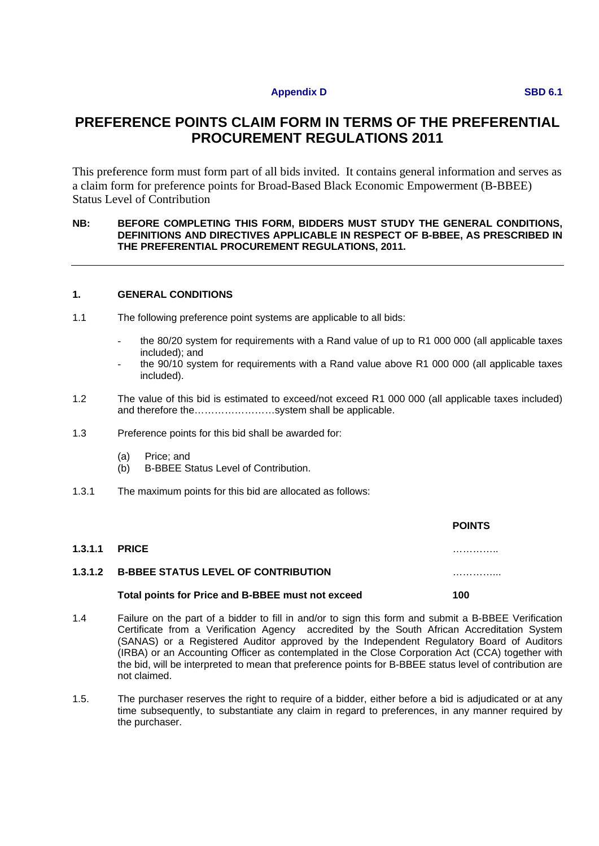### **Appendix D SBD 6.1**

# **PREFERENCE POINTS CLAIM FORM IN TERMS OF THE PREFERENTIAL PROCUREMENT REGULATIONS 2011**

This preference form must form part of all bids invited. It contains general information and serves as a claim form for preference points for Broad-Based Black Economic Empowerment (B-BBEE) Status Level of Contribution

#### **NB: BEFORE COMPLETING THIS FORM, BIDDERS MUST STUDY THE GENERAL CONDITIONS, DEFINITIONS AND DIRECTIVES APPLICABLE IN RESPECT OF B-BBEE, AS PRESCRIBED IN THE PREFERENTIAL PROCUREMENT REGULATIONS, 2011.**

### **1. GENERAL CONDITIONS**

- 1.1 The following preference point systems are applicable to all bids:
	- the 80/20 system for requirements with a Rand value of up to R1 000 000 (all applicable taxes included); and
	- the 90/10 system for requirements with a Rand value above R1 000 000 (all applicable taxes included).
- 1.2 The value of this bid is estimated to exceed/not exceed R1 000 000 (all applicable taxes included) and therefore the……………………system shall be applicable.
- 1.3 Preference points for this bid shall be awarded for:
	- (a) Price; and
	- (b) B-BBEE Status Level of Contribution.
- 1.3.1 The maximum points for this bid are allocated as follows:

|         |                                                    | <b>POINTS</b> |
|---------|----------------------------------------------------|---------------|
| 1.3.1.1 | <b>PRICE</b>                                       | .             |
|         | <b>1.3.1.2 B-BBEE STATUS LEVEL OF CONTRIBUTION</b> | .             |
|         | Total points for Price and B-BBEE must not exceed  | 100           |

- 1.4 Failure on the part of a bidder to fill in and/or to sign this form and submit a B-BBEE Verification Certificate from a Verification Agency accredited by the South African Accreditation System (SANAS) or a Registered Auditor approved by the Independent Regulatory Board of Auditors (IRBA) or an Accounting Officer as contemplated in the Close Corporation Act (CCA) together with the bid, will be interpreted to mean that preference points for B-BBEE status level of contribution are not claimed.
- 1.5. The purchaser reserves the right to require of a bidder, either before a bid is adjudicated or at any time subsequently, to substantiate any claim in regard to preferences, in any manner required by the purchaser.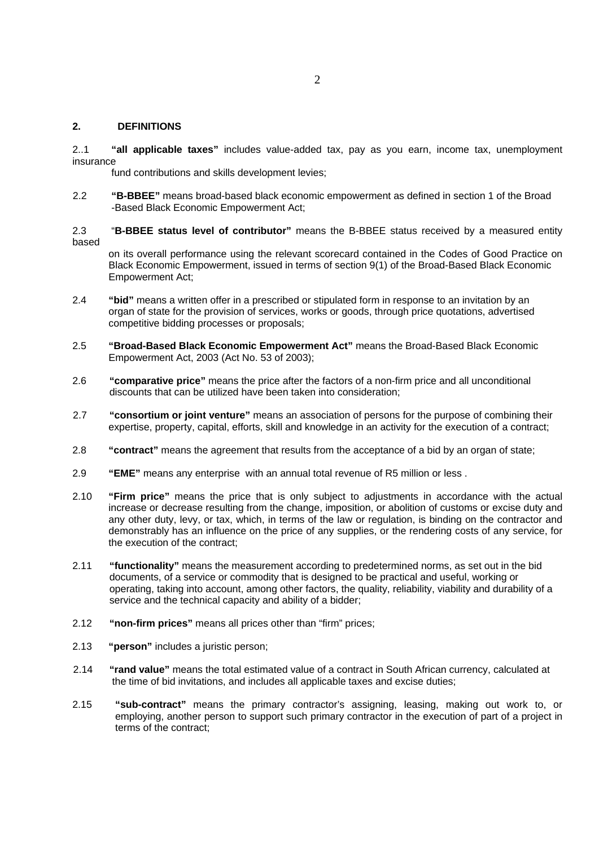#### **2. DEFINITIONS**

2..1 **"all applicable taxes"** includes value-added tax, pay as you earn, income tax, unemployment insurance

fund contributions and skills development levies;

- 2.2 **"B-BBEE"** means broad-based black economic empowerment as defined in section 1 of the Broad -Based Black Economic Empowerment Act;
- 2.3 "**B-BBEE status level of contributor"** means the B-BBEE status received by a measured entity based

on its overall performance using the relevant scorecard contained in the Codes of Good Practice on Black Economic Empowerment, issued in terms of section 9(1) of the Broad-Based Black Economic Empowerment Act;

- 2.4 **"bid"** means a written offer in a prescribed or stipulated form in response to an invitation by an organ of state for the provision of services, works or goods, through price quotations, advertised competitive bidding processes or proposals;
- 2.5 **"Broad-Based Black Economic Empowerment Act"** means the Broad-Based Black Economic Empowerment Act, 2003 (Act No. 53 of 2003);
- 2.6 **"comparative price"** means the price after the factors of a non-firm price and all unconditional discounts that can be utilized have been taken into consideration;
- 2.7 **"consortium or joint venture"** means an association of persons for the purpose of combining their expertise, property, capital, efforts, skill and knowledge in an activity for the execution of a contract;
- 2.8 **"contract"** means the agreement that results from the acceptance of a bid by an organ of state;
- 2.9 **"EME"** means any enterprise with an annual total revenue of R5 million or less .
- 2.10 **"Firm price"** means the price that is only subject to adjustments in accordance with the actual increase or decrease resulting from the change, imposition, or abolition of customs or excise duty and any other duty, levy, or tax, which, in terms of the law or regulation, is binding on the contractor and demonstrably has an influence on the price of any supplies, or the rendering costs of any service, for the execution of the contract;
- 2.11 **"functionality"** means the measurement according to predetermined norms, as set out in the bid documents, of a service or commodity that is designed to be practical and useful, working or operating, taking into account, among other factors, the quality, reliability, viability and durability of a service and the technical capacity and ability of a bidder;
- 2.12 **"non-firm prices"** means all prices other than "firm" prices;
- 2.13 **"person"** includes a juristic person;
- 2.14 **"rand value"** means the total estimated value of a contract in South African currency, calculated at the time of bid invitations, and includes all applicable taxes and excise duties;
- 2.15 **"sub-contract"** means the primary contractor's assigning, leasing, making out work to, or employing, another person to support such primary contractor in the execution of part of a project in terms of the contract;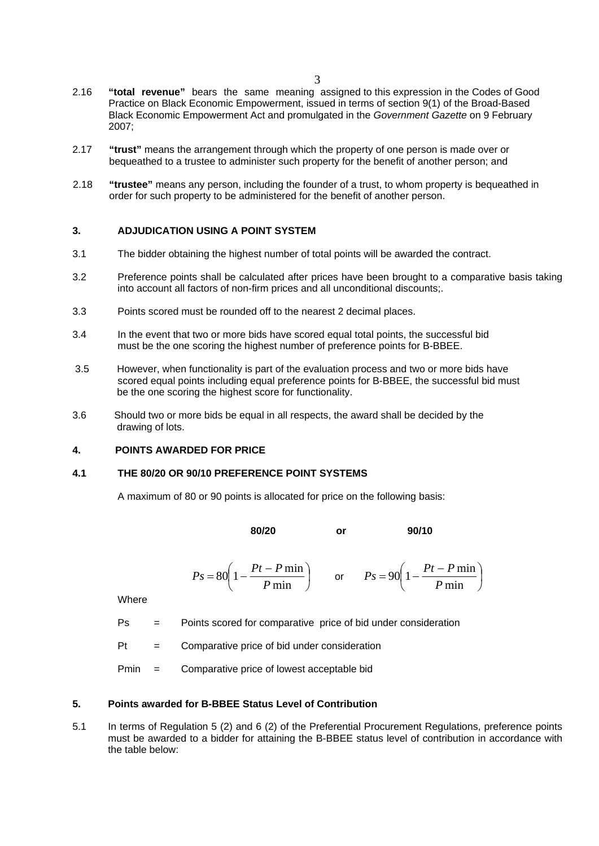- 2.16 **"total revenue"** bears the same meaning assigned to this expression in the Codes of Good Practice on Black Economic Empowerment, issued in terms of section 9(1) of the Broad-Based Black Economic Empowerment Act and promulgated in the *Government Gazette* on 9 February 2007;
- 2.17 **"trust"** means the arrangement through which the property of one person is made over or bequeathed to a trustee to administer such property for the benefit of another person; and
- 2.18 **"trustee"** means any person, including the founder of a trust, to whom property is bequeathed in order for such property to be administered for the benefit of another person.

### **3. ADJUDICATION USING A POINT SYSTEM**

- 3.1 The bidder obtaining the highest number of total points will be awarded the contract.
- 3.2 Preference points shall be calculated after prices have been brought to a comparative basis taking into account all factors of non-firm prices and all unconditional discounts;.
- 3.3 Points scored must be rounded off to the nearest 2 decimal places.
- 3.4 In the event that two or more bids have scored equal total points, the successful bid must be the one scoring the highest number of preference points for B-BBEE.
- 3.5 However, when functionality is part of the evaluation process and two or more bids have scored equal points including equal preference points for B-BBEE, the successful bid must be the one scoring the highest score for functionality.
- 3.6 Should two or more bids be equal in all respects, the award shall be decided by the drawing of lots.

#### **4. POINTS AWARDED FOR PRICE**

#### **4.1 THE 80/20 OR 90/10 PREFERENCE POINT SYSTEMS**

A maximum of 80 or 90 points is allocated for price on the following basis:

**80/20** or 90/10

$$
Ps = 80 \left( 1 - \frac{Pt - P \min}{P \min} \right) \qquad \text{or} \qquad Ps = 90 \left( 1 - \frac{Pt - P \min}{P \min} \right)
$$

**Where** 

Ps = Points scored for comparative price of bid under consideration

 $Pt =$  Comparative price of bid under consideration

Pmin = Comparative price of lowest acceptable bid

#### **5. Points awarded for B-BBEE Status Level of Contribution**

5.1 In terms of Regulation 5 (2) and 6 (2) of the Preferential Procurement Regulations, preference points must be awarded to a bidder for attaining the B-BBEE status level of contribution in accordance with the table below: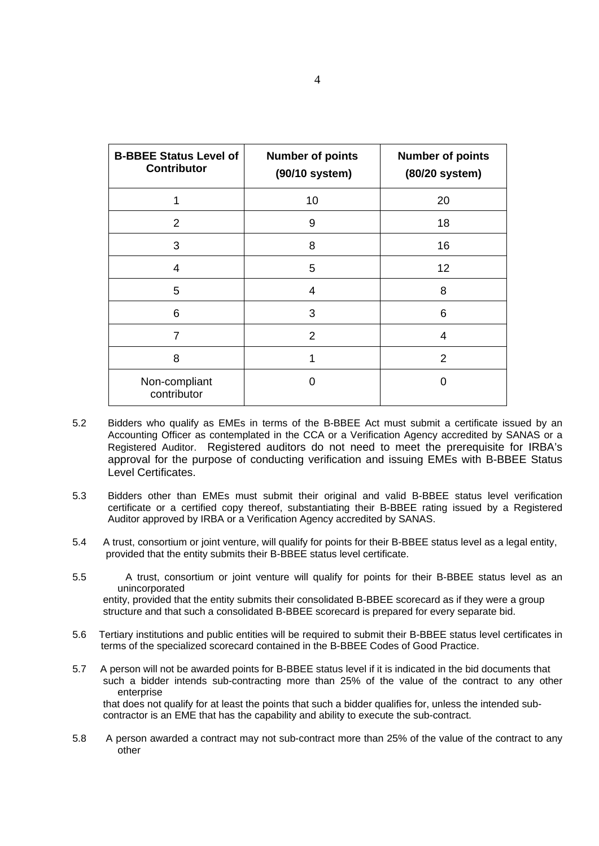| <b>B-BBEE Status Level of</b><br><b>Contributor</b> | <b>Number of points</b><br>(90/10 system) | <b>Number of points</b><br>(80/20 system) |
|-----------------------------------------------------|-------------------------------------------|-------------------------------------------|
| 1                                                   | 10                                        | 20                                        |
| 2                                                   | 9                                         | 18                                        |
| 3                                                   | 8                                         | 16                                        |
| 4                                                   | 5                                         | 12                                        |
| 5                                                   | 4                                         | 8                                         |
| 6                                                   | 3                                         | 6                                         |
| 7                                                   | $\overline{2}$                            | 4                                         |
| 8                                                   |                                           | $\overline{2}$                            |
| Non-compliant<br>contributor                        | 0                                         | O                                         |

- 5.2 Bidders who qualify as EMEs in terms of the B-BBEE Act must submit a certificate issued by an Accounting Officer as contemplated in the CCA or a Verification Agency accredited by SANAS or a Registered Auditor. Registered auditors do not need to meet the prerequisite for IRBA's approval for the purpose of conducting verification and issuing EMEs with B-BBEE Status Level Certificates.
- 5.3 Bidders other than EMEs must submit their original and valid B-BBEE status level verification certificate or a certified copy thereof, substantiating their B-BBEE rating issued by a Registered Auditor approved by IRBA or a Verification Agency accredited by SANAS.
- 5.4 A trust, consortium or joint venture, will qualify for points for their B-BBEE status level as a legal entity, provided that the entity submits their B-BBEE status level certificate.
- 5.5 A trust, consortium or joint venture will qualify for points for their B-BBEE status level as an unincorporated entity, provided that the entity submits their consolidated B-BBEE scorecard as if they were a group structure and that such a consolidated B-BBEE scorecard is prepared for every separate bid.
- 5.6 Tertiary institutions and public entities will be required to submit their B-BBEE status level certificates in terms of the specialized scorecard contained in the B-BBEE Codes of Good Practice.
- 5.7 A person will not be awarded points for B-BBEE status level if it is indicated in the bid documents that such a bidder intends sub-contracting more than 25% of the value of the contract to any other enterprise that does not qualify for at least the points that such a bidder qualifies for, unless the intended sub contractor is an EME that has the capability and ability to execute the sub-contract.
- 5.8 A person awarded a contract may not sub-contract more than 25% of the value of the contract to any other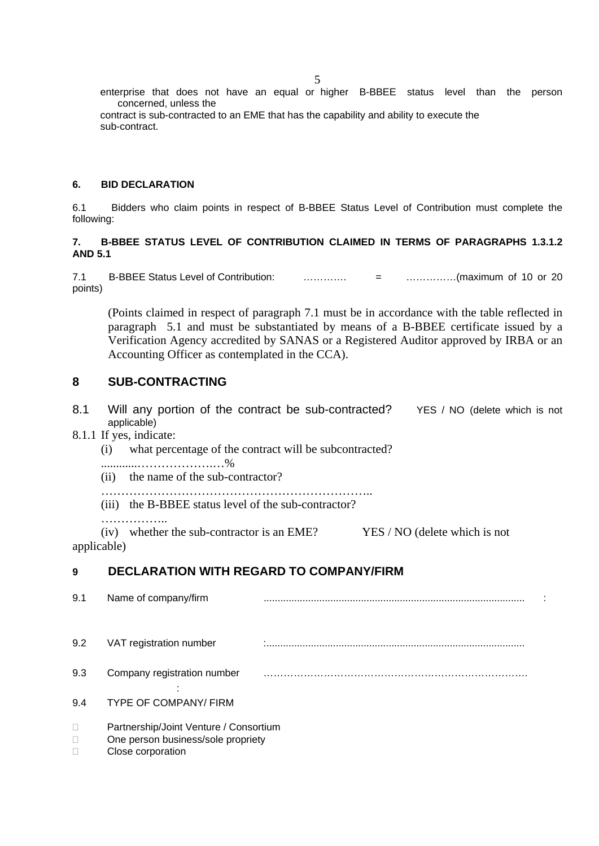enterprise that does not have an equal or higher B-BBEE status level than the person concerned, unless the

 contract is sub-contracted to an EME that has the capability and ability to execute the sub-contract.

# **6. BID DECLARATION**

6.1 Bidders who claim points in respect of B-BBEE Status Level of Contribution must complete the following:

# **7. B-BBEE STATUS LEVEL OF CONTRIBUTION CLAIMED IN TERMS OF PARAGRAPHS 1.3.1.2 AND 5.1**

7.1 B-BBEE Status Level of Contribution: …………. = ……………(maximum of 10 or 20 points)

(Points claimed in respect of paragraph 7.1 must be in accordance with the table reflected in paragraph 5.1 and must be substantiated by means of a B-BBEE certificate issued by a Verification Agency accredited by SANAS or a Registered Auditor approved by IRBA or an Accounting Officer as contemplated in the CCA).

# **8 SUB-CONTRACTING**

- 8.1 Will any portion of the contract be sub-contracted? YES / NO (delete which is not applicable)
- 8.1.1 If yes, indicate:
	- (i) what percentage of the contract will be subcontracted?
	- ............……………….…%
	- (ii) the name of the sub-contractor?
	- …………………………………………………………..
	- (iii) the B-BBEE status level of the sub-contractor?

……………..

(iv) whether the sub-contractor is an EME? YES / NO (delete which is not applicable)

# **9 DECLARATION WITH REGARD TO COMPANY/FIRM**

| 9.1         | Name of company/firm                                                                              |  |  |
|-------------|---------------------------------------------------------------------------------------------------|--|--|
| 9.2         | VAT registration number                                                                           |  |  |
| 9.3         | Company registration number                                                                       |  |  |
| 9.4         | <b>TYPE OF COMPANY/ FIRM</b>                                                                      |  |  |
| □<br>$\Box$ | Partnership/Joint Venture / Consortium<br>One person business/sole propriety<br>Close corporation |  |  |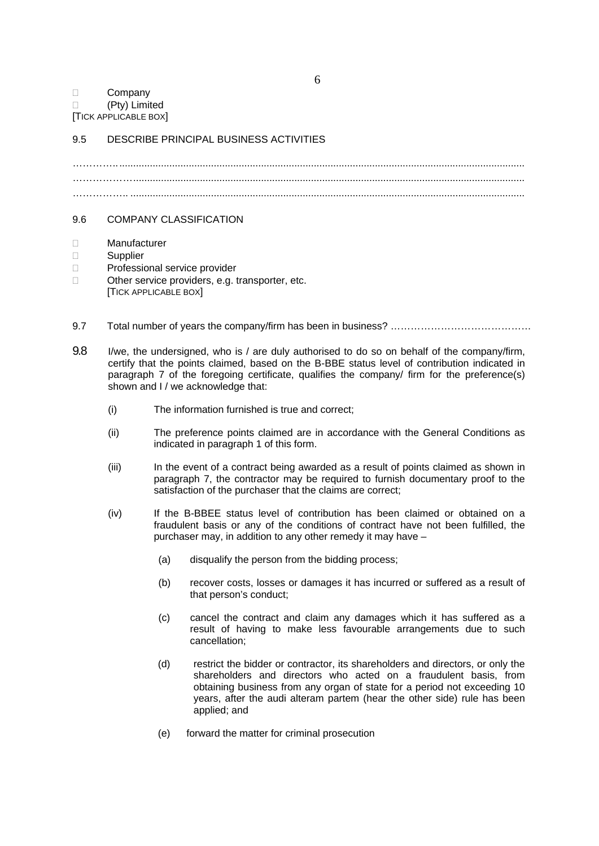# D Company (Pty) Limited

[TICK APPLICABLE BOX]

# 9.5 DESCRIBE PRINCIPAL BUSINESS ACTIVITIES

………….. .................................................................................................................................................. ……………… ............................................................................................................................................. …………….. ..............................................................................................................................................

# 9.6 COMPANY CLASSIFICATION

- Manufacturer
- □ Supplier
- □ Professional service provider
- □ Other service providers, e.g. transporter, etc. [TICK APPLICABLE BOX]
- 9.7 Total number of years the company/firm has been in business? ………………………………………
- 9.8 I/we, the undersigned, who is / are duly authorised to do so on behalf of the company/firm, certify that the points claimed, based on the B-BBE status level of contribution indicated in paragraph 7 of the foregoing certificate, qualifies the company/ firm for the preference(s) shown and I / we acknowledge that:
	- (i) The information furnished is true and correct;
	- (ii) The preference points claimed are in accordance with the General Conditions as indicated in paragraph 1 of this form.
	- (iii) In the event of a contract being awarded as a result of points claimed as shown in paragraph 7, the contractor may be required to furnish documentary proof to the satisfaction of the purchaser that the claims are correct;
	- (iv) If the B-BBEE status level of contribution has been claimed or obtained on a fraudulent basis or any of the conditions of contract have not been fulfilled, the purchaser may, in addition to any other remedy it may have –
		- (a) disqualify the person from the bidding process;
		- (b) recover costs, losses or damages it has incurred or suffered as a result of that person's conduct;
		- (c) cancel the contract and claim any damages which it has suffered as a result of having to make less favourable arrangements due to such cancellation;
		- (d) restrict the bidder or contractor, its shareholders and directors, or only the shareholders and directors who acted on a fraudulent basis, from obtaining business from any organ of state for a period not exceeding 10 years, after the audi alteram partem (hear the other side) rule has been applied; and
		- (e) forward the matter for criminal prosecution